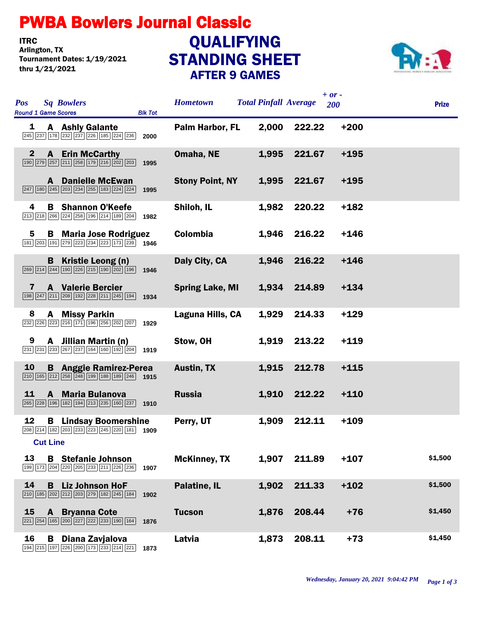## PWBA Bowlers Journal Classic

**ITRC**<br>Arlington, TX Tournament Dates: 1/19/2021 thru 1/21/2021

## STANDING SHEET AFTER 9 GAMES **QUALIFYING**



| <b>Sq Bowlers</b><br><b>Pos</b><br><b>Round 1 Game Scores</b><br><b>Blk Tot</b>                                                                                                  | <b>Hometown</b>        | $+ or -$<br><b>Total Pinfall Average</b><br>200 | <b>Prize</b> |
|----------------------------------------------------------------------------------------------------------------------------------------------------------------------------------|------------------------|-------------------------------------------------|--------------|
| 1<br><b>A</b> Ashly Galante<br>245 237 178 232 237 226 185 224 236<br>2000                                                                                                       | Palm Harbor, FL        | 2,000<br>$+200$<br>222.22                       |              |
| $\mathbf{2}$<br><b>A</b> Erin McCarthy<br>190 279 257 211 258 179 216 202 203<br>1995                                                                                            | Omaha, NE              | 1,995<br>221.67<br>$+195$                       |              |
| <b>A</b> Danielle McEwan<br>247 180 245 203 234 255 183 224 224<br>1995                                                                                                          | <b>Stony Point, NY</b> | 1,995<br>221.67<br>$+195$                       |              |
| 4<br><b>B</b> Shannon O'Keefe<br>213 218 266 224 258 196 214 189 204<br>1982                                                                                                     | Shiloh, IL             | 1,982<br>220.22<br>$+182$                       |              |
| 5<br><b>B</b> Maria Jose Rodriguez<br>181 203 191 279 223 234 223 173 239 1946                                                                                                   | <b>Colombia</b>        | 216.22<br>$+146$<br>1,946                       |              |
| Kristie Leong (n)<br>B<br>$\boxed{269}$ $\boxed{214}$ $\boxed{244}$ $\boxed{190}$ $\boxed{226}$ $\boxed{215}$ $\boxed{190}$ $\boxed{202}$ $\boxed{196}$<br>1946                  | Daly City, CA          | $+146$<br>216.22<br>1,946                       |              |
| <b>A</b> Valerie Bercier<br>7<br>198 247 211 208 192 228 211 245 194<br>1934                                                                                                     | <b>Spring Lake, MI</b> | 214.89<br>$+134$<br>1,934                       |              |
| <b>A</b> Missy Parkin<br>8<br>232 226 223 216 171 196 256 202 207<br>1929                                                                                                        | Laguna Hills, CA       | $+129$<br>1,929<br>214.33                       |              |
| 9<br>A Jillian Martin (n)<br>231 231 233 267 237 164 160 192 204<br>1919                                                                                                         | Stow, OH               | 213.22<br>$+119$<br>1,919                       |              |
| 10<br><b>B</b> Anggie Ramirez-Perea<br>$\boxed{210}$ $\boxed{165}$ $\boxed{212}$ $\boxed{258}$ $\boxed{248}$ $\boxed{199}$ $\boxed{188}$ $\boxed{189}$ $\boxed{246}$ <b>1915</b> | <b>Austin, TX</b>      | 1,915<br>212.78<br>$+115$                       |              |
| 11<br>A Maria Bulanova<br>265 228 196 182 194 213 235 160 237 1910                                                                                                               | <b>Russia</b>          | 212.22<br>$+110$<br>1,910                       |              |
| 12<br><b>B</b> Lindsay Boomershine<br>208 214 182 203 233 223 245 220 181<br>1909                                                                                                | Perry, UT              | 212.11<br>$+109$<br>1,909                       |              |
| <b>Cut Line</b>                                                                                                                                                                  |                        |                                                 | \$1,500      |
| 13<br><b>B</b> Stefanie Johnson<br>199 173 204 220 205 233 211 226 236<br>1907                                                                                                   | <b>McKinney, TX</b>    | 211.89<br>$+107$<br>1,907                       |              |
| 14<br><b>Liz Johnson HoF</b><br>B<br>210 185 202 212 203 279 182 245 184<br>1902                                                                                                 | Palatine, IL           | 211.33<br>$+102$<br>1,902                       | \$1,500      |
| 15<br>A<br><b>Bryanna Cote</b><br>221   254   165   200   227   222   233   190   164  <br>1876                                                                                  | <b>Tucson</b>          | 208.44<br>$+76$<br>1,876                        | \$1,450      |
| 16<br>Diana Zavjalova<br>В<br>194   215   197   226   200   173   233   214   221  <br>1873                                                                                      | Latvia                 | 208.11<br>$+73$<br>1,873                        | \$1,450      |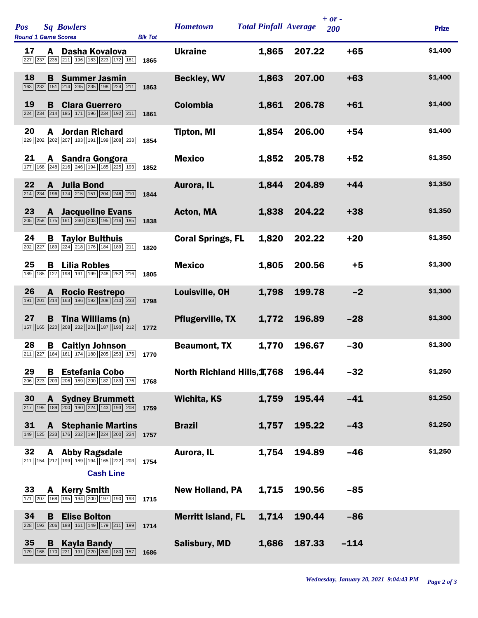| <b>Pos</b><br><b>Sq Bowlers</b><br><b>Round 1 Game Scores</b><br><b>Blk Tot</b>                    | <b>Hometown</b>             | <b>Total Pinfall Average</b> | $+ or -$ | <b>200</b> | <b>Prize</b> |
|----------------------------------------------------------------------------------------------------|-----------------------------|------------------------------|----------|------------|--------------|
| 17<br>A Dasha Kovalova<br>227 237 235 211 196 183 223 172 181<br>1865                              | <b>Ukraine</b>              | 1,865                        | 207.22   | $+65$      | \$1,400      |
| 18<br><b>Summer Jasmin</b><br>B.<br>163 232 151 214 235 235 198 224 211<br>1863                    | <b>Beckley, WV</b>          | 1,863                        | 207.00   | $+63$      | \$1,400      |
| 19<br><b>Clara Guerrero</b><br>B<br>224 234 214 185 171 196 234 192 211<br>1861                    | <b>Colombia</b>             | 1,861                        | 206.78   | $+61$      | \$1,400      |
| 20<br><b>Jordan Richard</b><br>A<br>229 202 202 207 183 191 199 208 233<br>1854                    | <b>Tipton, MI</b>           | 1,854                        | 206.00   | $+54$      | \$1,400      |
| 21<br>A Sandra Gongora<br>177 168 248 216 246 194 185 225 193<br>1852                              | <b>Mexico</b>               | 1,852                        | 205.78   | $+52$      | \$1,350      |
| 22<br><b>Julia Bond</b><br>$\mathbf{A}$<br>214 234 196 174 215 151 204 246 210<br>1844             | Aurora, IL                  | 1,844                        | 204.89   | $+44$      | \$1,350      |
| 23<br><b>A</b> Jacqueline Evans<br>205 258 175 161 240 203 195 216 185<br>1838                     | <b>Acton, MA</b>            | 1,838                        | 204.22   | $+38$      | \$1,350      |
| 24<br><b>Taylor Bulthuis</b><br>В<br>202 227 189 224 218 176 184 189 211<br>1820                   | <b>Coral Springs, FL</b>    | 1,820                        | 202.22   | $+20$      | \$1,350      |
| 25<br><b>Lilia Robles</b><br>в<br>127 198 191 199 248 252 216<br>189<br>185<br>1805                | <b>Mexico</b>               | 1,805                        | 200.56   | $+5$       | \$1,300      |
| 26<br><b>Rocio Restrepo</b><br>A<br>191 201 214 163 186 192 208 210 233<br>1798                    | Louisville, OH              | 1,798                        | 199.78   | $-2$       | \$1,300      |
| 27<br>Tina Williams (n)<br>в<br>157   165   220   208   232   201   187   190   212  <br>1772      | <b>Pflugerville, TX</b>     | 1,772                        | 196.89   | $-28$      | \$1,300      |
| 28<br><b>Caitlyn Johnson</b><br>В<br>184 161 174 180 205 253 175<br>211 227<br>1770                | <b>Beaumont, TX</b>         | 1,770                        | 196.67   | $-30$      | \$1,300      |
| 29<br>В<br><b>Estefania Cobo</b><br>206 223 203 206 189 200 182 183 176<br>1768                    | North Richland Hills, 1,768 |                              | 196.44   | $-32$      | \$1,250      |
| 30<br><b>Sydney Brummett</b><br>A<br>217 195 189 200 190 224 143 193 208<br>1759                   | <b>Wichita, KS</b>          | 1,759                        | 195.44   | $-41$      | \$1,250      |
| 31<br><b>A</b> Stephanie Martins<br>149 125 233 176 232 194 224 200 224<br>1757                    | <b>Brazil</b>               | 1,757                        | 195.22   | $-43$      | \$1,250      |
| 32<br><b>Abby Ragsdale</b><br>A<br>211 154 217 199 189 194 165 222 203<br>1754<br><b>Cash Line</b> | Aurora, IL                  | 1,754                        | 194.89   | $-46$      | \$1,250      |
| 33<br><b>Kerry Smith</b><br>A<br>168 195 194 200 197 190 193<br>171 207<br>1715                    | <b>New Holland, PA</b>      | 1,715                        | 190.56   | $-85$      |              |
| 34<br><b>Elise Bolton</b><br>B<br>188 161 149 179 211 199<br>228 193 206<br>1714                   | <b>Merritt Island, FL</b>   | 1,714                        | 190.44   | $-86$      |              |
| 35<br><b>Kayla Bandy</b><br>B<br>179 168 170 221 191 220 200 180 157<br>1686                       | <b>Salisbury, MD</b>        | 1,686                        | 187.33   | $-114$     |              |